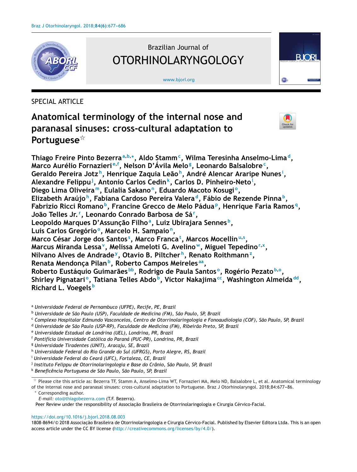

# Brazilian Journal of OTORHINOLARYNGOLOGY

[www.bjorl.org](http://www.bjorl.org)



SPECIAL ARTICLE

## **Anatomical terminology of the internal nose and paranasal sinuses: cross-cultural adaptation to Portuguese**-



**Thiago Freire Pinto Bezerra<sup>a</sup>,b,∗, Aldo Stammc, Wilma Teresinha Anselmo-Lima d, Marco Aurélio Fornazieri <sup>e</sup>,<sup>f</sup> , Nelson D'Ávila Melog, Leonardo Balsalobrec, Geraldo Pereira Jotz h, Henrique Zaquia Leão h, André Alencar Araripe Nunes <sup>i</sup> , Alexandre Felippu<sup>j</sup> , Antonio Carlos Cedink, Carlos D. Pinheiro-Neto<sup>l</sup> [,](#page-1-0) Diego Lima Oliveira [m,](#page-1-0) Eulalia Sakano [n,](#page-1-0) Eduardo Macoto Kosugi [o,](#page-1-0) Elizabeth Araújo h, Fabiana Cardoso Pereira Valera d, Fábio de Rezende Pinna b, Fabrizio Ricci Romano b, Francine Grecco de Melo Pádua [p,](#page-1-0) Henrique Faria Ramos [q,](#page-1-0) João Telles Jr. <sup>r</sup> , [L](#page-1-0)eonardo Conrado Barbosa de Sá<sup>r</sup> [,](#page-1-0) Leopoldo Marques D'Assunc¸ão Filhoa, Luiz Ubirajara Sennes b, Luis Carlos Gregório[o,](#page-1-0) Marcelo H. Sampaio [n,](#page-1-0) Marco César Jorge dos Santos <sup>s</sup> , [M](#page-1-0)arco Franca<sup>t</sup> , [M](#page-1-0)arcos Mocellin [u](#page-1-0),<sup>s</sup> [,](#page-1-0) Marcus Miranda Lessa[v,](#page-1-0) Melissa Ameloti G. Avelino [w,](#page-1-0) Miguel Tepedino<sup>r</sup>,[x,](#page-1-0) Nilvano Alves de Andrade[y,](#page-1-0) Otavio B. Piltcher h, Renato Roithmann[z,](#page-1-0) Renata Mendonc¸a Pilanb, Roberto Campos Meireles [aa,](#page-1-0) Roberto Eustáquio Guimarães [bb,](#page-1-0) Rodrigo de Paula Santos [o,](#page-1-0) Rogério Pezato <sup>b</sup>,[o,](#page-1-0) Shirley Pignatari [o,](#page-1-0) Tatiana Telles Abdo b, Victor Nakajima[cc,](#page-1-0) Washington Almeida [dd,](#page-1-0) Richard L. Voegels <sup>b</sup>**

<sup>a</sup> *Universidade Federal de Pernambuco (UFPE), Recife, PE, Brazil*

<sup>b</sup> *Universidade de São Paulo (USP), Faculdade de Medicina (FM), São Paulo, SP, Brazil*

- <sup>c</sup> *Complexo Hospitalar Edmundo Vasconcelos, Centro de Otorrinolaringologia e Fonoaudiologia (COF), São Paulo, SP, Brazil*
- <sup>d</sup> *Universidade de São Paulo (USP-RP), Faculdade de Medicina (FM), Ribeirão Preto, SP, Brazil*

<sup>e</sup> *Universidade Estadual de Londrina (UEL), Londrina, PR, Brazil*

<sup>f</sup> *Pontifícia Universidade Católica do Paraná (PUC-PR), Londrina, PR, Brazil*

<sup>g</sup> *Universidade Tiradentes (UNIT), Aracaju, SE, Brazil*

<sup>h</sup> *Universidade Federal do Rio Grande do Sul (UFRGS), Porto Alegre, RS, Brazil*

<sup>i</sup> *Universidade Federal do Ceará (UFC), Fortaleza, CE, Brazil*

<sup>j</sup> *Instituto Felippu de Otorrinolaringologia e Base do Crânio, São Paulo, SP, Brazil*

<sup>k</sup> *Beneficência Portuguesa de São Paulo, São Paulo, SP, Brazil*

 $^\star$  Please cite this article as: Bezerra TF, Stamm A, Anselmo-Lima WT, Fornazieri MA, Melo ND, Balsalobre L, et al. Anatomical terminology of the internal nose and paranasal sinuses: cross-cultural adaptation to Portuguese. Braz J Otorhinolaryngol. 2018;84:677-86.

Corresponding author.

*E-mail:* [oto@thiagobezerra.com](mailto:oto@thiagobezerra.com) (T.F. Bezerra).

Peer Review under the responsibility of Associação Brasileira de Otorrinolaringologia e Cirurgia Cérvico-Facial.

<https://doi.org/10.1016/j.bjorl.2018.08.003>

1808-8694/© 2018 Associação Brasileira de Otorrinolaringologia e Cirurgia Cérvico-Facial. Published by Elsevier Editora Ltda. This is an open access article under the CC BY license [\(http://creativecommons.org/licenses/by/4.0/\)](http://creativecommons.org/licenses/by/4.0/).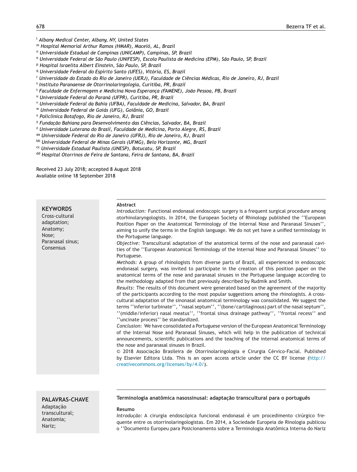- <span id="page-1-0"></span><sup>l</sup> *Albany Medical Center, Albany, NY, United States*
- <sup>m</sup> *Hospital Memorial Arthur Ramos (HMAR), Maceió, AL, Brazil*
- <sup>n</sup> *Universidade Estadual de Campinas (UNICAMP), Campinas, SP, Brazil*
- <sup>o</sup> *Universidade Federal de São Paulo (UNIFESP), Escola Paulista de Medicina (EPM), São Paulo, SP, Brazil*
- <sup>p</sup> *Hospital Israelita Albert Einstein, São Paulo, SP, Brazil*
- <sup>q</sup> *Universidade Federal do Espírito Santo (UFES), Vitória, ES, Brazil*
- <sup>r</sup> Universidade do Estado do Rio de Janeiro (UERJ), Faculdade de Ciências Médicas, Rio de Janeiro, RJ, Brazil
- <sup>s</sup> *Instituto Paranaense de Otorrinolaringologia, Curitiba, PR, Brazil*
- <sup>t</sup> *Faculdade de Enfermagem e Medicina Nova Esperanc¸a (FAMENE), João Pessoa, PB, Brazil*
- <sup>u</sup> *Universidade Federal do Paraná (UFPR), Curitiba, PR, Brazil*
- <sup>v</sup> *Universidade Federal da Bahia (UFBA), Faculdade de Medicina, Salvador, BA, Brazil*
- <sup>w</sup> *Universidade Federal de Goiás (UFG), Goiânia, GO, Brazil*
- <sup>x</sup> *Policlínica Botafogo, Rio de Janeiro, RJ, Brazil*
- <sup>y</sup> *Fundac¸ão Bahiana para Desenvolvimento das Ciências, Salvador, BA, Brazil*
- <sup>z</sup> *Universidade Luterana do Brasil, Faculdade de Medicina, Porto Alegre, RS, Brazil*

**Abstract**

- aa *Universidade Federal do Rio de Janeiro (UFRJ), Rio de Janeiro, RJ, Brazil*
- bb *Universidade Federal de Minas Gerais (UFMG), Belo Horizonte, MG, Brazil*
- cc *Universidade Estadual Paulista (UNESP), Botucatu, SP, Brazil*
- dd *Hospital Otorrinos de Feira de Santana, Feira de Santana, BA, Brazil*

Received 23 July 2018; accepted 8 August 2018 Available online 18 September 2018

#### **KEYWORDS**

Consensus

Cross-cultural adaptation; Anatomy; Nose; Paranasal sinus;

#### *Introduction:* Functional endonasal endoscopic surgery is a frequent surgical procedure among otorhinolaryngologists. In 2014, the European Society of Rhinology published the ''European Position Paper on the Anatomical Terminology of the Internal Nose and Paranasal Sinuses'', aiming to unify the terms in the English language. We do not yet have a unified terminology in the Portuguese language.

*Objective:* Transcultural adaptation of the anatomical terms of the nose and paranasal cavities of the ''European Anatomical Terminology of the Internal Nose and Paranasal Sinuses'' to Portuguese.

*Methods:* A group of rhinologists from diverse parts of Brazil, all experienced in endoscopic endonasal surgery, was invited to participate in the creation of this position paper on the anatomical terms of the nose and paranasal sinuses in the Portuguese language according to the methodology adapted from that previously described by Rudmik and Smith.

*Results:* The results of this document were generated based on the agreement of the majority of the participants according to the most popular suggestions among the rhinologists. A crosscultural adaptation of the sinonasal anatomical terminology was consolidated. We suggest the terms ''inferior turbinate'', ''nasal septum'', ''(bone/cartilaginous) part of the nasal septum'', ''(middle/inferior) nasal meatus'', ''frontal sinus drainage pathway'', ''frontal recess'' and ''uncinate process'' be standardized.

*Conclusion:* We have consolidated a Portuguese version ofthe European Anatomical Terminology of the Internal Nose and Paranasal Sinuses, which will help in the publication of technical announcements, scientific publications and the teaching of the internal anatomical terms of the nose and paranasal sinuses in Brazil.

 $\odot$  2018 Associacão Brasileira de Otorrinolaringologia e Cirurgia Cérvico-Facial. Published by Elsevier Editora Ltda. This is an open access article under the CC BY license [\(http://](http://creativecommons.org/licenses/by/4.0/) [creativecommons.org/licenses/by/4.0/\)](http://creativecommons.org/licenses/by/4.0/).

**PALAVRAS-CHAVE** Adaptação transcultural; Anatomia; Nariz;

#### **Terminologia anatômica nasossinusal: adaptac¸ão transcultural para o português**

#### **Resumo**

*Introdução:* A cirurgia endoscópica funcional endonasal é um procedimento cirúrgico frequente entre os otorrinolaringologistas. Em 2014, a Sociedade Europeia de Rinologia publicou o ''Documento Europeu para Posicionamento sobre a Terminologia Anatômica Interna do Nariz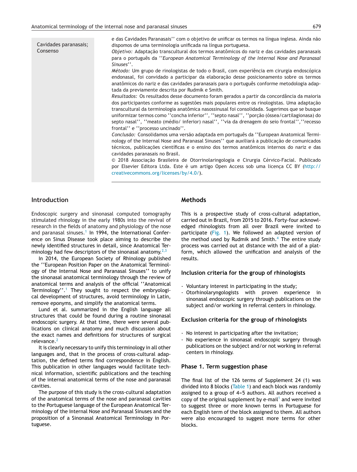Cavidades paranasais; Consenso

e das Cavidades Paranasais'' com o objetivo de unificar os termos na língua inglesa. Ainda não dispomos de uma terminologia unificada na língua portuguesa.

*Objetivo:* Adaptacão transcultural dos termos anatômicos do nariz e das cavidades paranasais para o português da ''*European Anatomical Terminology of the Internal Nose and Paranasal Sinuses*''.

*Método:* Um grupo de rinologistas de todo o Brasil, com experiência em cirurgia endoscópica endonasal, foi convidado a participar da elaboração desse posicionamento sobre os termos anatômicos do nariz e das cavidades paranasais para o português conforme metodologia adaptada da previamente descrita por Rudmik e Smith.

*Resultados:* Os resultados desse documento foram gerados a partir da concordância da maioria dos participantes conforme as sugestões mais populares entre os rinologistas. Uma adaptação transcultural da terminologia anatômica nasossinusal foi consolidada. Sugerimos que se busque uniformizar termos como "concha inferior", "septo nasal", "porção (óssea/cartilagionasa) do septo nasal'', ''meato (médio/ inferior) nasal'', ''via da drenagem do seio frontal'',''recesso frontal'' e ''processo uncinado''.

*Conclusão:* Consolidamos uma versão adaptada em português da ''European Anatomical Terminology of the Internal Nose and Paranasal Sinuses'' que auxiliará a publicação de comunicados técnicos, publicações científicas e o ensino dos termos anatômicos internos do nariz e das cavidades paranasais no Brasil.

© 2018 Associação Brasileira de Otorrinolaringologia e Cirurgia Cérvico-Facial. Publicado por Elsevier Editora Ltda. Este é um artigo Open Access sob uma licenca CC BY ([http://](http://creativecommons.org/licenses/by/4.0/) [creativecommons.org/licenses/by/4.0/](http://creativecommons.org/licenses/by/4.0/)).

## **Introduction**

Endoscopic surgery and sinonasal computed tomography stimulated rhinology in the early 1980s into the revival of research in the fields of anatomy and physiology of the nose and paranasal sinuses.<sup>[1](#page-9-0)</sup> In 1994, the International Conference on Sinus Disease took place aiming to describe the newly identified structures in detail, since Anatomical Ter-minology had few descriptors of the sinonasal anatomy.<sup>[2,3](#page-9-0)</sup>

In 2014, the European Society of Rhinology published the ''European Position Paper on the Anatomical Terminology of the Internal Nose and Paranasal Sinuses'' to unify the sinonasal anatomical terminology through the review of anatomical terms and analysis of the official ''Anatomical Terminology''.[1](#page-9-0) They sought to respect the embryological development of structures, avoid terminology in Latin, remove eponyms, and simplify the anatomical terms.

Lund et al. summarized in the English language all structures that could be found during a routine sinonasal endoscopic surgery. At that time, there were several publications on clinical anatomy and much discussion about the exact names and definitions for structures of surgical relevance.<sup>[2](#page-9-0)</sup>

It is clearly necessary to unify this terminology in all other languages and, that in the process of cross-cultural adaptation, the defined terms find correspondence in English. This publication in other languages would facilitate technical information, scientific publications and the teaching of the internal anatomical terms of the nose and paranasal cavities.

The purpose of this study is the cross-cultural adaptation of the anatomical terms of the nose and paranasal cavities to the Portuguese language of the European Anatomical Terminology of the Internal Nose and Paranasal Sinuses and the proposition of a Sinonasal Anatomical Terminology in Portuguese.

## **Methods**

This is a prospective study of cross-cultural adaptation, carried out in Brazil, from 2015 to 2016. Forty-four acknowledged rhinologists from all over Brazil were invited to participate [\(Fig.](#page-3-0) 1). We followed an adapted version of the method used by Rudmik and Smith. $4$  The entire study process was carried out at distance with the aid of a platform, which allowed the unification and analysis of the results.

#### **Inclusion criteria for the group of rhinologists**

- Voluntary interest in participating in the study;
- Otorhinolaryngologists with proven experience in sinonasal endoscopic surgery through publications on the subject and/or working in referral centers in rhinology.

#### **Exclusion criteria for the group of rhinologists**

- No interest in participating after the invitation;
- No experience in sinonasal endoscopic surgery through publications on the subject and/or not working in referral centers in rhinology.

#### **Phase 1. Term suggestion phase**

The final list of the 126 terms of Supplement 24 (1) was divided into 8 blocks [\(Table](#page-4-0) 1) and each block was randomly assigned to a group of 4-5 authors. All authors received a copy of the origin[a](#page-9-0)l supplement by  $e$ -mail<sup>1</sup> and were invited to suggest three or more known terms in Portuguese for each English term of the block assigned to them. All authors were also encouraged to suggest more terms for other blocks.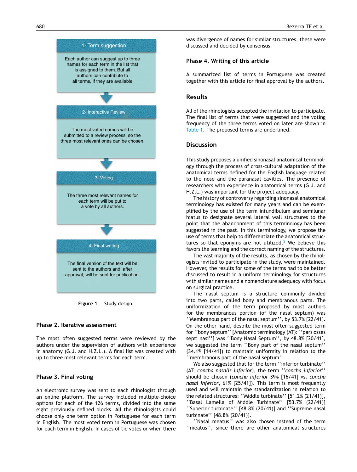<span id="page-3-0"></span>

**Figure 1** Study design.

#### **Phase 2. Iterative assessment**

The most often suggested terms were reviewed by the authors under the supervision of authors with experience in anatomy (G.J. and H.Z.L.). A final list was created with up to three most relevant terms for each term.

#### **Phase 3. Final voting**

An electronic survey was sent to each rhinologist through an online platform. The survey included multiple-choice options for each of the 126 terms, divided into the same eight previously defined blocks. All the rhinologists could choose only one term option in Portuguese for each term in English. The most voted term in Portuguese was chosen for each term in English. In cases of tie votes or when there was divergence of names for similar structures, these were discussed and decided by consensus.

## **Phase 4. Writing of this article**

A summarized list of terms in Portuguese was created together with this article for final approval by the authors.

## **Results**

All of the rhinologists accepted the invitation to participate. The final list of terms that were suggested and the voting frequency of the three terms voted on later are shown in [Table](#page-4-0) 1. The proposed terms are underlined.

## **Discussion**

This study proposes a unified sinonasal anatomical terminology through the process of cross-cultural adaptation of the anatomical terms defined for the English language related to the nose and the paranasal cavities. The presence of researchers with experience in anatomical terms (G.J. and H.Z.L.) was important for the project adequacy.

The history of controversy regarding sinonasal anatomical terminology has existed for many years and can be exemplified by the use of the term infundibulum and semilunar hiatus to designate several lateral wall structures to the point that the abandonment of this terminology has been suggested in the past. In this terminology, we propose the use of terms that help to differentiate the anatomical struc-tures so that eponyms are not utilized.<sup>[5](#page-9-0)</sup> We believe this favors the learning and the correct naming of the structures.

The vast majority of the results, as chosen by the rhinologists invited to participate in the study, were maintained. However, the results for some of the terms had to be better discussed to result in a uniform terminology for structures with similar names and a nomenclature adequacy with focus on surgical practice.

The nasal septum is a structure commonly divided into two parts, called bony and membranous parts. The uniformization of the term proposed by most authors for the membranous portion (of the nasal septum) was ''Membranous part of the nasal septum'', by 53.7% [22/41]. On the other hand, despite the most often suggested term for ''bony septum'' [Anatomic terminology (AT): ''pars osses septi nasi''] was ''Bony Nasal Septum'', by 48.8% [20/41], we suggested the term ''Bony part of the nasal septum'' (34.1% [14/41]) to maintain uniformity in relation to the ''membranous part of the nasal septum''.

We also suggested that for the term ''inferior turbinate'' (AT: *concha nasalis inferior*), the term ''*concha inferior*'' should be chosen (*concha inferior* 39% [16/41] vs. *concha nasal inferior*, 61% [25/41]). This term is most frequently used and will maintain the standardization in relation to the related structures: ''Middle turbinate'' [51.2% (21/41)], ''Basal Lamella of Middle Turbinate'' [53.7% (22/41)] ''Superior turbinate'' [48.8% (20/41)] and ''Supreme nasal turbinate'' [48.8% (20/41)].

''Nasal meatus'' was also chosen instead of the term ''meatus'', since there are other anatomical structures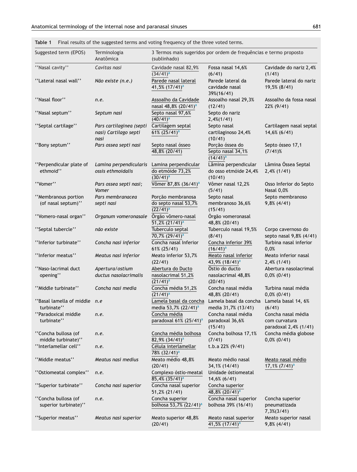<span id="page-4-0"></span>

|  | Table 1 Final results of the suggested terms and voting frequency of the three voted terms. |  |  |  |  |  |  |
|--|---------------------------------------------------------------------------------------------|--|--|--|--|--|--|
|--|---------------------------------------------------------------------------------------------|--|--|--|--|--|--|

| Suggested term (EPOS)                       | Terminologia<br>Anatômica                                 | (sublinhado)                                               | 3 Termos mais sugeridos por ordem de frequências e termo proposto |                                                              |
|---------------------------------------------|-----------------------------------------------------------|------------------------------------------------------------|-------------------------------------------------------------------|--------------------------------------------------------------|
| "Nasal cavity"                              | Cavitas nasi                                              | Cavidade nasal 82,9%<br>$(34/41)^{\overline{a}}$           | Fossa nasal 14,6%<br>(6/41)                                       | Cavidade do nariz 2,4%<br>(1/41)                             |
| "Lateral nasal wall"                        | Não existe (n.e.)                                         | Parede nasal lateral<br>41,5% (17/41) <sup>a</sup>         | Parede lateral da<br>cavidade nasal<br>39%(16/41)                 | Parede lateral do nariz<br>19,5% (8/41)                      |
| "Nasal floor"                               | n.e.                                                      | Assoalho da Cavidade<br>nasal 48,8% (20/41) <sup>a</sup>   | Assoalho nasal 29,3%<br>(12/41)                                   | Assoalho da fossa nasal<br>22% (9/41)                        |
| "Nasal septum"                              | Septum nasi                                               | Septo nasal 97,6%<br>$(40/41)^{a}$                         | Septo do nariz<br>$2,4\%$ $(1/41)$                                |                                                              |
| "Septal cartilage"                          | Pars cartilaginea (septi<br>nasi) Cartilago septi<br>nasi | Cartilagem septal<br>$\sqrt{61\% (25/41)^a}$               | Septo nasal<br>cartilaginoso 24,4%<br>(10/41)                     | Cartilagem nasal septal<br>14,6% (6/41)                      |
| "Bony septum"                               | Pars ossea septi nasi                                     | Septo nasal ósseo<br>48,8% (20/41)                         | Porção óssea do<br>Septo nasal 34,1%<br>$(14/41)^{a}$             | Septo ósseo 17,1<br>$(7/41)$ %                               |
| "Perpendicular plate of<br>ethmoid"         | Lamina perpendicularis<br>ossis ethmoidalis               | Lamina perpendicular<br>do etmóide 73,2%<br>$(30/41)^a$    | Lâmina perpendicular<br>do osso etmóide 24,4%<br>(10/41)          | Lâmina Óssea Septal<br>$2,4%$ (1/41)                         |
| "Vomer"                                     | Pars ossea septi nasi;<br>Vomer                           | Vômer 87,8% (36/41) <sup>a</sup>                           | Vômer nasal 12,2%<br>(5/41)                                       | Osso Inferior do Septo<br>Nasal 0,0%                         |
| "Membranous portion<br>(of nasal septum)"   | Pars membranacea<br>septi nasi                            | Porção membranosa<br>do septo nasal 53,7%<br>$(22/41)^a$   | Septo nasal<br>membranoso 36,6%<br>(15/41)                        | Septo membranoso<br>9,8% (4/41)                              |
| "Vomero-nasal organ"                        | Organum vomeronasale                                      | Órgão vômero-nasal<br>51,2% $(21/41)^a$                    | Órgão vomeronasal<br>48,8% (20/41)                                |                                                              |
| "Septal tubercle"                           | não existe                                                | Tuberculo septal<br>70,7% (29/41) <sup>a</sup>             | Tuberculo nasal 19,5%<br>(8/41)                                   | Corpo cavernoso do<br>septo nasal 9,8% (4/41)                |
| "Inferior turbinate"                        | Concha nasi inferior                                      | Concha nasal Inferior<br>61% (25/41)                       | Concha inferior 39%<br>$(16/41)^a$                                | Turbina nasal inferior<br>0,0%                               |
| "Inferior meatus"                           | Meatus nasi inferior                                      | Meato inferior 53,7%<br>(22/41)                            | Meato nasal inferior<br>43,9% (18/41) <sup>a</sup>                | Meato inferior nasal<br>$2,4%$ (1/41)                        |
| ''Naso-lacrimal duct<br>opening"            | Apertura/ostium<br>ductus nasolacrimalis                  | Abertura do Ducto<br>nasolacrimal 51,2%                    | Ostio do ducto<br>nasolacrimal 48,8%                              | Abertura nasolacrimal<br>$0,0\%$ (0/41)                      |
|                                             |                                                           | $(21/41)^a$                                                | (20/41)                                                           |                                                              |
| "Middle turbinate"                          | Concha nasi media                                         | Concha média 51,2%<br>$(21/41)^a$                          | Concha nasal média<br>48,8% (20/41)                               | Turbina nasal média<br>$0,0\%$ (0/41)                        |
| "Basal lamella of middle n.e<br>turbinate"  |                                                           | Lamela basal da concha<br>media 53,7% (22/41) <sup>a</sup> | Lamela basal da concha<br>media 31,7% (13/41)                     | Lamela basal 14, 6%<br>(6/41)                                |
| "Paradoxical middle<br>turbinate"           | n.e.                                                      | Concha média<br>paradoxal 61% (25/41) <sup>a</sup>         | Concha nasal média<br>paradoxal 36,6%<br>(15/41)                  | Concha nasal média<br>com curvatura<br>paradoxal 2,4% (1/41) |
| "Concha bullosa (of<br>middle turbinate)"   | n.e.                                                      | Concha média bolhosa<br>82,9% (34/41) <sup>a</sup>         | Concha bolhosa 17,1%<br>(7/41)                                    | Concha média globose<br>$0,0\%$ (0/41)                       |
| "Interlamellar cell"                        | n.e.                                                      | Célula interlamellar<br>78% (32/41) <sup>a</sup>           | t.b.a 22% (9/41)                                                  |                                                              |
| "Middle meatus"                             | Meatus nasi medius                                        | Meato médio 48,8%<br>(20/41)                               | Meato médio nasal<br>34, 1% (14/41)                               | Meato nasal médio<br>$17,1\%$ $(7/41)^a$                     |
| "Ostiomeatal complex"                       | n.e.                                                      | Complexo óstio-meatal<br>85,4% $(35/41)a$                  | Unidade óstiomeatal<br>14,6% (6/41)                               |                                                              |
| "Superior turbinate"                        | Concha nasi superior                                      | Concha nasal superior<br>51,2% (21/41)                     | Concha superior<br>48,8% (20/41) <sup>a</sup>                     |                                                              |
| "Concha bullosa (of<br>superior turbinate)" | n.e.                                                      | Concha superior<br>bolhosa 53,7% (22/41) <sup>a</sup>      | Concha nasal superior<br>bolhosa 39% (16/41)                      | Concha superior<br>pneumatizada<br>$7,3\%(3/41)$             |
| "Superior meatus"                           | Meatus nasi superior                                      | Meato superior 48,8%<br>(20/41)                            | Meato nasal superior<br>41,5% (17/41) <sup>a</sup>                | Meato superior nasal<br>$9,8\%$ (4/41)                       |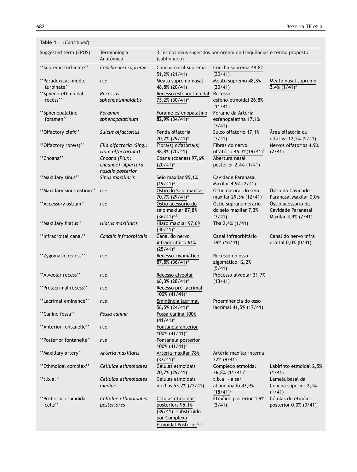**Table 1** (*Continued*)

| Suggested term (EPOS)              | Terminologia<br>Anatômica                                 | (sublinhado)                                                                                           | 3 Termos mais sugeridos por ordem de frequências e termo proposto |                                                                 |
|------------------------------------|-----------------------------------------------------------|--------------------------------------------------------------------------------------------------------|-------------------------------------------------------------------|-----------------------------------------------------------------|
| "Supreme turbinate"                | Concha nasi suprema                                       | Concha nasal suprema                                                                                   | Concha suprema 48,8%                                              |                                                                 |
| ''Paradoxical middle<br>turbinate" | n.e.                                                      | 51,2% (21/41)<br>Meato supremo nasal<br>48,8% (20/41)                                                  | $(20/41)^a$<br>Meato supremo 48,8%<br>(20/41)                     | Meato nasal supremo<br>$2,4%$ $(1/41)^a$                        |
| ''Spheno-ethmoidal                 | Recessus                                                  | Recesso esfenoetmoidal                                                                                 | Recesso                                                           |                                                                 |
| recess''                           | sphenoethmoidalis                                         | 73,2% (30/41) <sup>a</sup>                                                                             | esfeno-etmoidal 26,8%<br>(11/41)                                  |                                                                 |
| "Sphenopalatine                    | Foramen                                                   | Forame esfenopalatino                                                                                  | Forame da Artéria                                                 |                                                                 |
| foramen''                          | sphenopalatinum                                           | 82,9% (34/41) <sup>a</sup>                                                                             | esfenopalatina 17,1%<br>(7/41)                                    |                                                                 |
| "Olfactory cleft"                  | Sulcus olfactorius                                        | Fenda olfatória<br>70,7% (29/41) <sup>a</sup>                                                          | Sulco olfatório 17,1%<br>(7/41)                                   | Área olfatória ou<br>olfativa 12,2% (5/41)                      |
| "Olfactory rbre(s)"                | Fila olfactoria (Sing.:<br>rlum olfactorium)              | Fibra(s) olfatória(s)<br>48,8% (20/41)                                                                 | Fibras do nervo<br>olfatório 46,3%(19/41) <sup>a</sup>            | Nervos olfatórios 4,9%<br>(2/41)                                |
| "Choana"                           | Choana (Plur.:<br>choanae); Apertura<br>nasalis posterior | Coana (coanas) 97,6%<br>$(20/41)^a$                                                                    | Abertura nasal<br>posterior 2,4% (1/41)                           |                                                                 |
| "Maxillary sinus"                  | Sinus maxillaris                                          | Seio maxilar 95,1%<br>$(19/41)^{a}$                                                                    | Cavidade Paranasal<br>Maxilar 4,9% (2/41)                         |                                                                 |
| "Maxillary sinus ostium"           | n.e.                                                      | Óstio do Seio maxilar<br>70,7% (29/41) <sup>a</sup>                                                    | Óstio natural do seio<br>maxilar 29,3% (12/41)                    | Óstio da Cavidade<br>Paranasal Maxilar 0,0%                     |
| "Accessory ostium"                 | n.e                                                       | Óstio acessório do<br>seio maxilar 87,8%<br>$(36/41)^{a,b}$                                            | Óstio supranumerário<br>do seio maxilar 7,3%<br>(3/41)            | Óstio acessório da<br>Cavidade Paranasal<br>Maxilar 4,9% (2/41) |
| "Maxillary hiatus"                 | Hiatus maxillaris                                         | Hiato maxilar 97,6%<br>$(40/41)^{a}$                                                                   | Tba 2,4% (1/41)                                                   |                                                                 |
| "Infraorbital canal"               | Canalis infraorbitalis                                    | Canal do nervo<br>infraorbitário 61%<br>$(25/41)^{a}$                                                  | Canal infraorbitário<br>39% (16/41)                               | Canal do nervo infra<br>orbital 0,0% (0/41)                     |
| "Zygomatic recess"                 | n.e.                                                      | Recesso zigomático<br>87,8% (36/41) <sup>a</sup>                                                       | Recesso do osso<br>zigomático 12,2%<br>(5/41)                     |                                                                 |
| "Alveolar recess"                  | n.e.                                                      | Recesso alveolar<br>68,3% (28/41) <sup>a</sup>                                                         | Processo alveolar 31,7%<br>(13/41)                                |                                                                 |
| "Prelacrimal recess"               | n.e.                                                      | Recesso pré-lacrimal<br>100% (41/41) <sup>a</sup>                                                      |                                                                   |                                                                 |
| "Lacrimal eminence"                | n.e.                                                      | Eminência lacrimal<br>58,5% (24/41) <sup>a</sup>                                                       | Proeminência do osso<br>lacrimal 41,5% (17/41)                    |                                                                 |
| "Canine fossa"                     | Fossa canina                                              | Fossa canina 100%<br>$(41/41)^a$                                                                       |                                                                   |                                                                 |
| "Anterior fontanelle"              | n.e.                                                      | Fontanela anterior<br>100% $(41/41)^a$                                                                 |                                                                   |                                                                 |
| "Posterior fontanelle"             | n.e                                                       | Fontanela posterior<br>100% (41/41) <sup>a</sup>                                                       |                                                                   |                                                                 |
| "Maxillary artery"                 | Arteria maxillaris                                        | Artéria maxilar 78%<br>$(32/41)^a$                                                                     | Artéria maxilar interna<br>22% (9/41)                             |                                                                 |
| "Ethmoidal complex"                | Cellulae ethmoidales                                      | Células etmoidais<br>70,7% (29/41)                                                                     | Complexo etmoidal<br>$26,8\%$ (11/41) <sup>a</sup>                | Labirinto etmoidal 2,5%<br>(1/41)                               |
| "t.b.a."                           | Cellulae ethmoidales<br>mediae                            | Células etmoidais<br>medias 53,7% (22/41)                                                              | t.b.a. - a ser<br>abandonado 43,9%<br>$(18/41)^a$                 | Lamela basal da<br>Concha superior 2,4%<br>(1/41)               |
| ''Posterior ethmoidal<br>cells"    | Cellulae ethmoidales<br>posteriores                       | Células etmoidais<br>posteriors 95,1%<br>(39/41), substituído<br>por Complexo<br>Etmoidal Posteriorb,a | Etmóide posterior 4,9%<br>(2/41)                                  | Células do etmóide<br>posterior 0,0% (0/41)                     |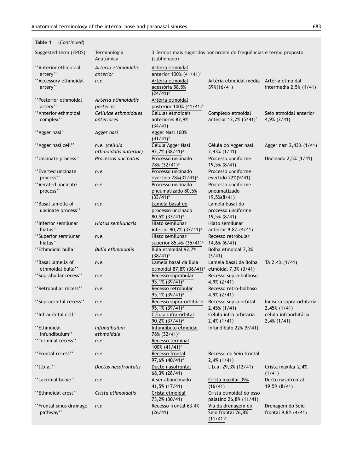| Table 1<br>(Continued)                                  |                                         |                                                                            |                                                                   |                                          |
|---------------------------------------------------------|-----------------------------------------|----------------------------------------------------------------------------|-------------------------------------------------------------------|------------------------------------------|
| Suggested term (EPOS)                                   | Terminologia<br>Anatômica               | (sublinhado)                                                               | 3 Termos mais sugeridos por ordem de frequências e termo proposto |                                          |
| ''Anterior ethmoidal<br>artery"<br>"Accessory ethmoidal | Arteria ethmoidalis<br>anterior<br>n.e. | Artéria etmoidal<br>anterior 100% (41/41) <sup>a</sup><br>Artéria etmoidal | Artéria etmoidal média Artéria etmoidal                           |                                          |
| artery"                                                 |                                         | acessória 58,5%<br>$(24/41)^a$                                             | 39%(16/41)                                                        | intermedia 2,5% (1/41)                   |
| "Posterior ethmoidal"<br>artery"                        | Arteria ethmoidalis<br>posterior        | Artéria etmoidal<br>posterior 100% (41/41) <sup>a</sup>                    |                                                                   |                                          |
| "Anterior ethmoidal<br>complex"                         | Cellulae ethmoidales<br>anteriores      | Células etmoidais<br>anteriores 82,9%<br>(34/41)                           | Complexo etmoidal<br>anterior 12,2% (5/41) <sup>a</sup>           | Seio etmoidal anterior<br>4,9% (2/41)    |
| "Agger nasi"                                            | Agger nasi                              | Agger Nasi 100%<br>$(41/41)^a$                                             |                                                                   |                                          |
| "Agger nasi cell"                                       | n.e. (cellula<br>ethmoidalis anterior)  | Célula Agger Nasi<br>92,7% (38/41) <sup>a</sup>                            | Célula do Agger nasi<br>2,43% (1/41)                              | Agger nasi 2,43% (1/41)                  |
| "Uncinate process"                                      | Processus uncinatus                     | Processo uncinado<br>78% (32/41) <sup>a</sup>                              | Processo unciforme<br>19,5% (8/41)                                | Uncinado 2,5% (1/41)                     |
| "Everted uncinate<br>process''                          | n.e.                                    | Processo uncinado<br>evertido 78%(32/41) <sup>a</sup>                      | Processo unciforme<br>evertido 22%(9/41)                          |                                          |
| "Aerated uncinate<br>process''                          | n.e.                                    | Processo uncinado<br>pneumatizado 80,5%<br>$(33/41)^a$                     | Processo unciforme<br>pneumatizado<br>19,5%(8/41)                 |                                          |
| "Basal lamella of<br>uncinate process"                  | n.e.                                    | Lamela basal do<br>processo uncinado<br>80,5% (33/41) <sup>a</sup>         | Lamela basal do<br>processo unciforme<br>19,5% (8/41)             |                                          |
| "Inferior semilunar<br>hiatus"                          | Hiatus semilunaris                      | Hiato semilunar<br>inferior 90,2% (37/41) <sup>a</sup>                     | Hiato semilunar<br>anterior 9,8% (4/41)                           |                                          |
| "Superior semilunar<br>hiatus"                          | n.e.                                    | Hiato semilunar<br>superior 85,4% (35/41) <sup>a</sup>                     | Recesso retrobular<br>$14,6\%$ (6/41)                             |                                          |
| "Ethmoidal bulla"                                       | <b>Bulla ethmoidalis</b>                | Bula etmoidal 92,7%<br>$(38/41)^a$                                         | Bolha etmoidal 7,3%<br>(3/41)                                     |                                          |
| "Basal lamella of<br>ethmoidal bulla"                   | n.e.                                    | Lamela basal da Bula<br>etmoidal 87,8% (36/41) <sup>a</sup>                | Lamela basal da Bolha<br>etmóidal 7,3% (3/41)                     | TA 2,4% (1/41)                           |
| "Suprabullar recess"                                    | n.e.                                    | Recesso suprabular<br>$95,1\%$ (39/41) <sup>a</sup>                        | Recesso supra-bolhoso<br>4,9% (2/41)                              |                                          |
| "Retrobullar recess"                                    | n.e.                                    | Recesso retrobular<br>95,1% (39/41) <sup>a</sup>                           | Recesso retro-bolhoso<br>4,9% (2/41)                              |                                          |
| "Supraorbital recess"                                   | n.e.                                    | Recesso supra-orbitàrio<br>95,1% (39/41) <sup>a</sup>                      | Recesso supra-orbital<br>2,45% (1/41)                             | Incisura supra-orbitaria<br>2,45% (1/41) |
| "Infraorbital cell"                                     | n.e.                                    | Célula infra-orbital<br>90,2% (37/41) <sup>a</sup>                         | Célula infra orbitaria<br>$2,4\%$ (1/41)                          | célula infraorbitária<br>$2,4\%$ (1/41)  |
| "Ethmoidal<br>infundibulum''                            | Infundibulum<br>ethmoidale              | Infundíbulo etmoidal<br>78% (32/41) <sup>a</sup>                           | Infundíbulo 22% (9/41)                                            |                                          |
| "Terminal recess"                                       | n.e                                     | Recesso terminal<br>100% (41/41) <sup>a</sup>                              |                                                                   |                                          |
| "Frontal recess"                                        | n.e                                     | Recesso frontal<br>$97,6\%$ (40/41) <sup>a</sup>                           | Recesso do Seio frontal<br>$2,4\%$ (1/41)                         |                                          |
| "t.b.a."                                                | Ductus nasofrontalis                    | Ducto nasofrontal<br>68,3% (28/41)                                         | t.b.a. 29,3% (12/41)                                              | Crista maxilar 2,4%<br>(1/41)            |
| "Lacrimal bulge"                                        | n.e.                                    | A ser abandonado<br>41,5% (17/41)                                          | Crista maxilar 39%<br>(16/41)                                     | Ducto nasofrontal<br>19,5% (8/41)        |
| "Ethmoidal crest"                                       | Crista ethmoidalis                      | Crista etmoidal<br>73,2% (30/41)                                           | Crista etmoidal do osso<br>palatino 26,8% (11/41)                 |                                          |
| "Frontal sinus drainage<br>pathway"                     | n.e                                     | Recesso frontal 63,4%<br>(26/41)                                           | Via da drenagem do<br>Seio frontal 26,8%<br>$(11/41)^{a}$         | Drenagem do Seio<br>frontal 9,8% (4/41)  |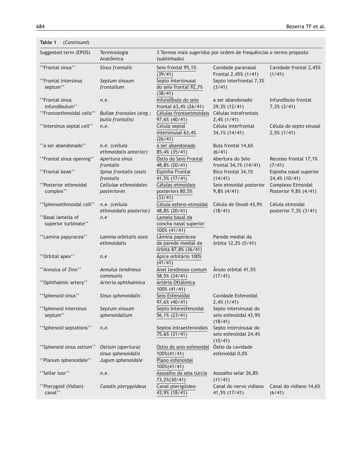**Table 1** (*Continued*)

| Suggested term (EPOS)                    | Terminologia<br>Anatômica                    | 3 Termos mais sugeridos por ordem de frequências e termo proposto<br>(sublinhado) |                                                           |                                            |  |
|------------------------------------------|----------------------------------------------|-----------------------------------------------------------------------------------|-----------------------------------------------------------|--------------------------------------------|--|
| "Frontal sinus"                          | Sinus frontalis                              | Seio frontal 95,1%<br>(39/41)                                                     | Cavidade paranasal<br>Frontal 2,45% (1/41)                | Cavidade frontal 2,45%<br>(1/41)           |  |
| ''Frontal intersinus                     | Septum sinuum                                | Septo intersinusal                                                                | Septo interfrontal 7,3%                                   |                                            |  |
| septum"                                  | frontalium                                   | do seio frontal 92,7%<br>(38/41)                                                  | (3/41)                                                    |                                            |  |
| "Frontal sinus<br>infundibulum"          | n.e.                                         | Infundíbulo do seio<br>frontal 63,4% (26/41)                                      | a ser abandonado<br>29,3% (12/41)                         | Infundíbulo frontal<br>$7,3\%$ (3/41)      |  |
| "Frontoethmoidal cells"                  | Bullae frontales (sing.:<br>bulla frontalis) | Células frontoetmoidais<br>97,6% (40/41)                                          | Células intrafrontais<br>2,4% (1/41)                      |                                            |  |
| "Intersinus septal cell"                 | n.e.                                         | Celula septal<br>intersinusal 63,4%<br>(26/41)                                    | Célula interfrontal<br>34, 1% (14/41)                     | Célula do septo sinusal<br>$2,5\%$ (1/41)  |  |
| "a ser abandonado"                       | n.e. (cellula<br>ethmoidalis anterior)       | a ser abandonado<br>85,4% (35/41)                                                 | Bula frontal 14,6%<br>(6/41)                              |                                            |  |
| "Frontal sinus opening"                  | Apertura sinus<br>frontalis                  | Óstio do Seio Frontal<br>48,8% (20/41)                                            | Abertura do Seio<br>frontal 34,1% (14/41)                 | Recesso frontal 17,1%<br>(7/41)            |  |
| "Frontal beak"                           | Spina frontalis (ossis<br>frontalis          | Espinha Frontal<br>$41,5\%$ (17/41)                                               | Bico frontal 34,1%<br>(14/41)                             | Espinha nasal superior<br>24,4% (10/41)    |  |
| ''Posterior ethmoidal<br>complex"        | Cellulae ethmoidales<br>posteriores          | Células etmoidais<br>posteriors 80,5%<br>(33/41)                                  | Seio etmoidal posterior<br>$9,8\%$ (4/41)                 | Complexo Etmoidal<br>Posterior 9,8% (4/41) |  |
| "Sphenoethmoidal cell"                   | n.e. (cellula<br>ethmoidalis posterior)      | Célula esfeno-etmoidal<br>48,8% (20/41)                                           | Célula de Onodi 43,9%<br>(18/41)                          | Célula etmoidal<br>posterior 7,3% (3/41)   |  |
| "Basal lamella of<br>superior turbinate" | n.e                                          | Lamela basal da<br>concha nasal superior<br>100% (41/41)                          |                                                           |                                            |  |
| "Lamina papyracea"                       | Lamina orbitalis ossis<br>ethmoidalis        | Lâmina papirácea<br>da parede medial da<br>órbita 87,8% (36/41)                   | Parede medial da<br>órbita 12,2% (5/41)                   |                                            |  |
| "Orbital apex"                           | n.e                                          | Ápice orbitário 100%<br>(41/41)                                                   |                                                           |                                            |  |
| "Annulus of Zinn"                        | Annulus tendineus<br>communis                | Anel tendinoso comum<br>58,5% (24/41)                                             | Ânulo orbital 41,5%<br>(17/41)                            |                                            |  |
| "Ophthalmic artery"                      | Arteria ophthalmica                          | Artéria Oftálmica<br>100% (41/41)                                                 |                                                           |                                            |  |
| "Sphenoid sinus"                         | Sinus sphenoidalis                           | Seio Esfenoidal<br>97,6% (40/41)                                                  | Cavidade Esfenoidal<br>$2,4\%$ (1/41)                     |                                            |  |
| 'Sphenoid intersinus<br>septum"          | Septum sinuum<br>sphenoidalium               | Septo Interesfenoidal<br>56,1% (23/41)                                            | Septo intersinusal do<br>seio esfenóidal 43,9%<br>(18/41) |                                            |  |
| "Sphenoid septations"                    | n.e.                                         | Septos Intraesfenoidais<br>75,6% (31/41)                                          | Septo intersinusal do<br>seio esfenóidal 24,4%<br>(10/41) |                                            |  |
| "Sphenoid sinus ostium"                  | Ostium (apertura)<br>sinus sphenoidalis      | Ostio do seio esfenoidal<br>100%(41/41)                                           | Óstio da cavidade<br>esfenoidal 0,0%                      |                                            |  |
| "Planum sphenoidale"                     | Jugum sphenoidale                            | Plano esfenoidal<br>100%(41/41)                                                   |                                                           |                                            |  |
| "Sellar loor"                            | n.e.                                         | Assoalho da sela túrcia<br>73,2%(30/41)                                           | Assoalho selar 26,8%<br>(11/41)                           |                                            |  |
| "Pterygoid (Vidian)<br>canal"            | Canalis pterygoideus                         | Canal pterigóideo<br>43,9% (18/41)                                                | Canal do nervo vidiano<br>41,5% (17/41)                   | Canal do vidiano 14,6%<br>(6/41)           |  |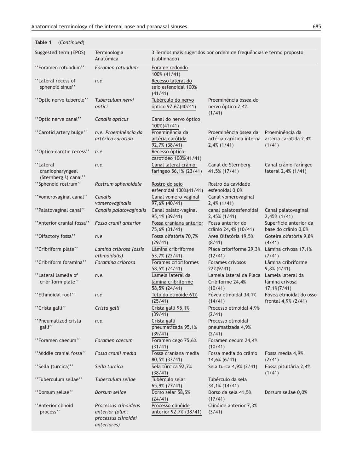**Table 1** (*Continued*)

| Suggested term (EPOS)                                 | Terminologia<br>Anatômica                                                      | (sublinhado)                                             | 3 Termos mais sugeridos por ordem de frequências e termo proposto   |                                                              |
|-------------------------------------------------------|--------------------------------------------------------------------------------|----------------------------------------------------------|---------------------------------------------------------------------|--------------------------------------------------------------|
| "Foramen rotundum"                                    | Foramen rotundum                                                               | Forame redondo<br>100% (41/41)                           |                                                                     |                                                              |
| ''Lateral recess of<br>sphenoid sinus"                | n.e.                                                                           | Recesso lateral do<br>seio esfenoidal 100%<br>(41/41)    |                                                                     |                                                              |
| "Optic nerve tubercle"                                | Tuberculum nervi<br>optici                                                     | Tubérculo do nervo<br>óptico 97,6%(40/41)                | Proeminência óssea do<br>nervo óptico 2,4%<br>(1/41)                |                                                              |
| "Optic nerve canal"                                   | Canalis opticus                                                                | Canal do nervo óptico<br>100%(41/41)                     |                                                                     |                                                              |
| "Carotid artery bulge"                                | n.e. Proeminência da<br>artérica carótida                                      | Proeminência da<br>artéria carótida<br>92,7% (38/41)     | Proeminência óssea da<br>artéria carótida interna<br>$2,4\%$ (1/41) | Proeminência da<br>artéria carótida 2,4%<br>(1/41)           |
| "Optico-carotid recess"                               | n.e.                                                                           | Recesso óptico-<br>carotídeo 100%(41/41)                 |                                                                     |                                                              |
| ''Lateral<br>craniopharyngeal<br>(Sternberg ś) canal" | n.e.                                                                           | Canal lateral crânio-<br>faríngeo 56,1% (23/41)          | Canal de Sternberg<br>41,5% (17/41)                                 | Canal crânio-faríngeo<br>lateral 2,4% (1/41)                 |
| "Sphenoid rostrum"                                    | Rostrum sphenoidale                                                            | Rostro do seio<br>esfenoidal 100%(41/41)                 | Rostro da cavidade<br>esfenoidal 0,0%                               |                                                              |
| "Vomerovaginal canal"                                 | Canalis<br>vomerovaginalis                                                     | Canal vomero-vaginal<br>97,6% (40/41)                    | Canal vomerovaginal<br>$2,4%$ (1/41)                                |                                                              |
| "Palatovaginal canal"                                 | Canalis palatovaginalis                                                        | Canal palato-vaginal<br>95,1% (39/41)                    | canal palatoesfenoidal<br>2,45% (1/41)                              | Canal palatovaginal<br>2,45% (1/41)                          |
| "Anterior cranial fossa"                              | Fossa cranii anterior                                                          | Fossa craniana anterior<br>75,6% (31/41)                 | Fossa anterior do<br>crânio 24,4% (10/41)                           | Superfície anterior da<br>base do crânio 0,0%                |
| "Olfactory fossa"                                     | n.e                                                                            | Fossa olfatória 70,7%<br>(29/41)                         | Área Olfatória 19,5%<br>(8/41)                                      | Goteira olfatória 9,8%<br>(4/41)                             |
| "Cribriform plate"                                    | Lamina cribrosa (ossis<br>ethmoidalis)                                         | Lâmina cribriforme<br>53,7% (22/41)                      | Placa cribriforme 29,3%<br>(12/41)                                  | Lâmina crivosa 17,1%<br>(7/41)                               |
| "Cribriform foramina"                                 | Foramina cribrosa                                                              | Forames cribriformes<br>58,5% (24/41)                    | Forames crivosos<br>22%(9/41)                                       | Lâmina cribriforme<br>$9,8\%$ (4/41)                         |
| "Lateral lamella of<br>cribriform plate"              | n.e.                                                                           | Lamela lateral da<br>lâmina cribriforme<br>58,5% (24/41) | Lamela lateral da Placa<br>Cribiforme 24,4%<br>(10/41)              | Lamela lateral da<br>lâmina crivosa<br>$17,1\frac{8}{7}/41)$ |
| "Ethmoidal roof"                                      | n.e.                                                                           | Teto do etmóide 61%<br>(25/41)                           | Fóvea etmoidal 34,1%<br>(14/41)                                     | Fóvea etmoidal do osso<br>frontal 4,9% (2/41)                |
| "Crista galli"                                        | Crista galli                                                                   | Crista galli 95,1%<br>(39/41)                            | Processo etmoidal 4,9%<br>(2/41)                                    |                                                              |
| ''Pneumatized crista<br>galli"                        | n.e.                                                                           | Crista galli<br>pneumatizada 95,1%<br>(39/41)            | Processo etmoidal<br>pneumatizada 4,9%<br>(2/41)                    |                                                              |
| "Foramen caecum"                                      | Foramen caecum                                                                 | Foramen cego 75,6%<br>(31/41)                            | Foramen cecum 24,4%<br>(10/41)                                      |                                                              |
| "Middle cranial fossa"                                | Fossa cranii media                                                             | Fossa craniana media<br>80,5% (33/41)                    | Fossa media do crânio<br>$14,6\%$ (6/41)                            | Fossa media 4,9%<br>(2/41)                                   |
| "Sella (turcica)"                                     | Sella turcica                                                                  | Sela túrcica 92,7%<br>(38/41)                            | Sela turca 4,9% (2/41)                                              | Fossa pituitária 2,4%<br>(1/41)                              |
| "Tuberculum sellae"                                   | Tuberculum sellae                                                              | Tubérculo selar<br>65,9% (27/41)                         | Tubérculo da sela<br>34,1% (14/41)                                  |                                                              |
| "Dorsum sellae"                                       | Dorsum sellae                                                                  | Dorso selar 58,5%<br>(24/41)                             | Dorso da sela 41,5%<br>(17/41)                                      | Dorsum sellae 0,0%                                           |
| "Anterior clinoid<br>process''                        | Processus clinoideus<br>anterior (plur.:<br>processus clinoidei<br>anteriores) | Processo clinóide<br>anterior 92,7% (38/41)              | Clinóide anterior 7,3%<br>(3/41)                                    |                                                              |